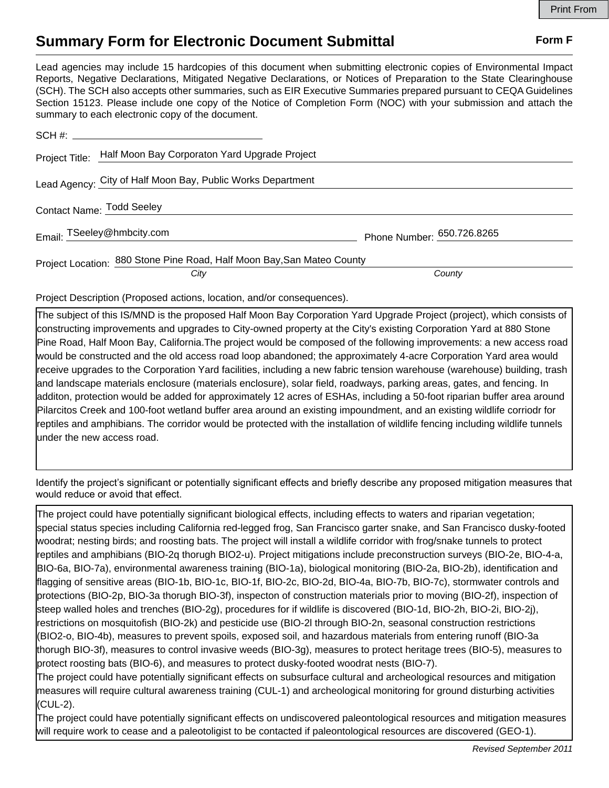## **Summary Form for Electronic Document Submittal Form F Form F**

Lead agencies may include 15 hardcopies of this document when submitting electronic copies of Environmental Impact Reports, Negative Declarations, Mitigated Negative Declarations, or Notices of Preparation to the State Clearinghouse (SCH). The SCH also accepts other summaries, such as EIR Executive Summaries prepared pursuant to CEQA Guidelines Section 15123. Please include one copy of the Notice of Completion Form (NOC) with your submission and attach the summary to each electronic copy of the document.

|                           | Project Title: Half Moon Bay Corporaton Yard Upgrade Project           |                            |
|---------------------------|------------------------------------------------------------------------|----------------------------|
|                           | Lead Agency: City of Half Moon Bay, Public Works Department            |                            |
| Contact Name: Todd Seeley |                                                                        |                            |
|                           | Email: TSeeley@hmbcity.com                                             | Phone Number: 650.726.8265 |
|                           | Project Location: 880 Stone Pine Road, Half Moon Bay, San Mateo County |                            |
|                           | City                                                                   | County                     |

Project Description (Proposed actions, location, and/or consequences).

The subject of this IS/MND is the proposed Half Moon Bay Corporation Yard Upgrade Project (project), which consists of constructing improvements and upgrades to City-owned property at the City's existing Corporation Yard at 880 Stone Pine Road, Half Moon Bay, California.The project would be composed of the following improvements: a new access road would be constructed and the old access road loop abandoned; the approximately 4-acre Corporation Yard area would receive upgrades to the Corporation Yard facilities, including a new fabric tension warehouse (warehouse) building, trash and landscape materials enclosure (materials enclosure), solar field, roadways, parking areas, gates, and fencing. In additon, protection would be added for approximately 12 acres of ESHAs, including a 50-foot riparian buffer area around Pilarcitos Creek and 100-foot wetland buffer area around an existing impoundment, and an existing wildlife corriodr for reptiles and amphibians. The corridor would be protected with the installation of wildlife fencing including wildlife tunnels under the new access road.

Identify the project's significant or potentially significant effects and briefly describe any proposed mitigation measures that would reduce or avoid that effect.

The project could have potentially significant biological effects, including effects to waters and riparian vegetation; special status species including California red-legged frog, San Francisco garter snake, and San Francisco dusky-footed woodrat; nesting birds; and roosting bats. The project will install a wildlife corridor with frog/snake tunnels to protect reptiles and amphibians (BIO-2q thorugh BIO2-u). Project mitigations include preconstruction surveys (BIO-2e, BIO-4-a, BIO-6a, BIO-7a), environmental awareness training (BIO-1a), biological monitoring (BIO-2a, BIO-2b), identification and flagging of sensitive areas (BIO-1b, BIO-1c, BIO-1f, BIO-2c, BIO-2d, BIO-4a, BIO-7b, BIO-7c), stormwater controls and protections (BIO-2p, BIO-3a thorugh BIO-3f), inspecton of construction materials prior to moving (BIO-2f), inspection of steep walled holes and trenches (BIO-2g), procedures for if wildlife is discovered (BIO-1d, BIO-2h, BIO-2i, BIO-2j), restrictions on mosquitofish (BIO-2k) and pesticide use (BIO-2l through BIO-2n, seasonal construction restrictions (BIO2-o, BIO-4b), measures to prevent spoils, exposed soil, and hazardous materials from entering runoff (BIO-3a thorugh BIO-3f), measures to control invasive weeds (BIO-3g), measures to protect heritage trees (BIO-5), measures to protect roosting bats (BIO-6), and measures to protect dusky-footed woodrat nests (BIO-7).

The project could have potentially significant effects on subsurface cultural and archeological resources and mitigation measures will require cultural awareness training (CUL-1) and archeological monitoring for ground disturbing activities (CUL-2).

The project could have potentially significant effects on undiscovered paleontological resources and mitigation measures will require work to cease and a paleotoligist to be contacted if paleontological resources are discovered (GEO-1).